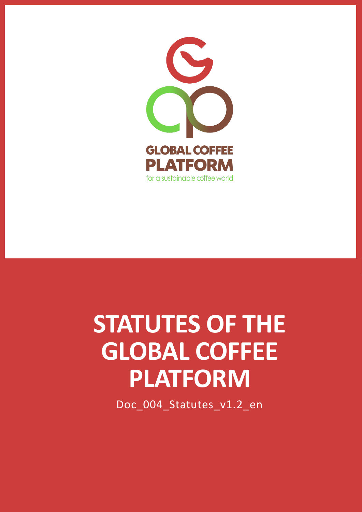

# **STATUTES OF THE GLOBAL COFFEE PLATFORM**

Doc\_004\_Statutes\_v1.2\_en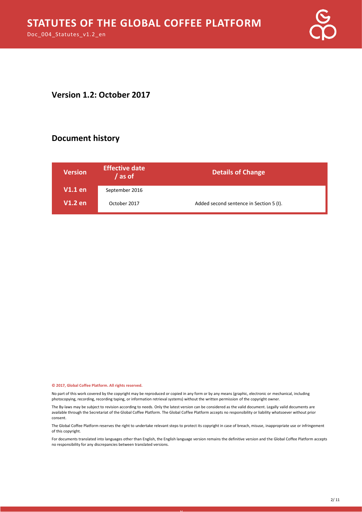

#### **Version 1.2: October 2017**

#### **Document history**

| <b>Version</b> | <b>Effective date</b><br>as of | <b>Details of Change</b>                |
|----------------|--------------------------------|-----------------------------------------|
| <b>V1.1 en</b> | September 2016                 |                                         |
| <b>V1.2 en</b> | October 2017                   | Added second sentence in Section 5 (I). |

#### **© 2017, Global Coffee Platform. All rights reserved.**

No part of this work covered by the copyright may be reproduced or copied in any form or by any means (graphic, electronic or mechanical, including photocopying, recording, recording taping, or information retrieval systems) without the written permission of the copyright owner.

The By-laws may be subject to revision according to needs. Only the latest version can be considered as the valid document. Legally valid documents are available through the Secretariat of the Global Coffee Platform. The Global Coffee Platform accepts no responsibility or liability whatsoever without prior consent.

The Global Coffee Platform reserves the right to undertake relevant steps to protect its copyright in case of breach, misuse, inappropriate use or infringement of this copyright.

For documents translated into languages other than English, the English language version remains the definitive version and the Global Coffee Platform accepts no responsibility for any discrepancies between translated versions.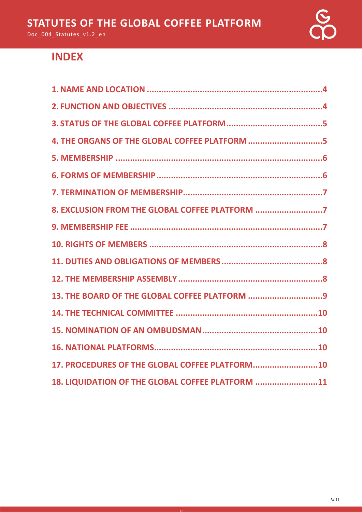

# **INDEX**

| 4. THE ORGANS OF THE GLOBAL COFFEE PLATFORM 5    |
|--------------------------------------------------|
|                                                  |
|                                                  |
|                                                  |
| 8. EXCLUSION FROM THE GLOBAL COFFEE PLATFORM 7   |
|                                                  |
|                                                  |
|                                                  |
|                                                  |
| 13. THE BOARD OF THE GLOBAL COFFEE PLATFORM 9    |
|                                                  |
|                                                  |
|                                                  |
| 17. PROCEDURES OF THE GLOBAL COFFEE PLATFORM10   |
| 18. LIQUIDATION OF THE GLOBAL COFFEE PLATFORM 11 |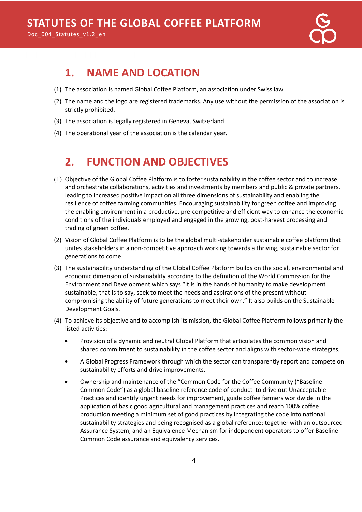

# <span id="page-3-0"></span>**1. NAME AND LOCATION**

- (1) The association is named Global Coffee Platform, an association under Swiss law.
- (2) The name and the logo are registered trademarks. Any use without the permission of the association is strictly prohibited.
- (3) The association is legally registered in Geneva, Switzerland.
- (4) The operational year of the association is the calendar year.

# <span id="page-3-1"></span>**2. FUNCTION AND OBJECTIVES**

- $(1)$  Objective of the Global Coffee Platform is to foster sustainability in the coffee sector and to increase and orchestrate collaborations, activities and investments by members and public & private partners, leading to increased positive impact on all three dimensions of sustainability and enabling the resilience of coffee farming communities. Encouraging sustainability for green coffee and improving the enabling environment in a productive, pre-competitive and efficient way to enhance the economic conditions of the individuals employed and engaged in the growing, post-harvest processing and trading of green coffee.
- (2) Vision of Global Coffee Platform is to be the global multi-stakeholder sustainable coffee platform that unites stakeholders in a non-competitive approach working towards a thriving, sustainable sector for generations to come.
- (3) The sustainability understanding of the Global Coffee Platform builds on the social, environmental and economic dimension of sustainability according to the definition of the World Commission for the Environment and Development which says "It is in the hands of humanity to make development sustainable, that is to say, seek to meet the needs and aspirations of the present without compromising the ability of future generations to meet their own." It also builds on the Sustainable Development Goals.
- (4) To achieve its objective and to accomplish its mission, the Global Coffee Platform follows primarily the listed activities:
	- Provision of a dynamic and neutral Global Platform that articulates the common vision and shared commitment to sustainability in the coffee sector and aligns with sector-wide strategies;
	- A Global Progress Framework through which the sector can transparently report and compete on sustainability efforts and drive improvements.
	- Ownership and maintenance of the "Common Code for the Coffee Community ("Baseline Common Code") as a global baseline reference code of conduct to drive out Unacceptable Practices and identify urgent needs for improvement, guide coffee farmers worldwide in the application of basic good agricultural and management practices and reach 100% coffee production meeting a minimum set of good practices by integrating the code into national sustainability strategies and being recognised as a global reference; together with an outsourced Assurance System, and an Equivalence Mechanism for independent operators to offer Baseline Common Code assurance and equivalency services.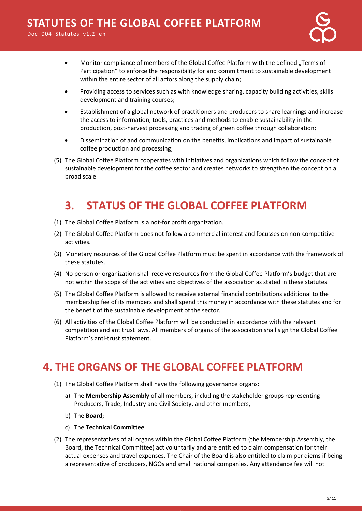

- Monitor compliance of members of the Global Coffee Platform with the defined "Terms of Participation" to enforce the responsibility for and commitment to sustainable development within the entire sector of all actors along the supply chain;
- Providing access to services such as with knowledge sharing, capacity building activities, skills development and training courses;
- Establishment of a global network of practitioners and producers to share learnings and increase the access to information, tools, practices and methods to enable sustainability in the production, post-harvest processing and trading of green coffee through collaboration;
- Dissemination of and communication on the benefits, implications and impact of sustainable coffee production and processing;
- (5) The Global Coffee Platform cooperates with initiatives and organizations which follow the concept of sustainable development for the coffee sector and creates networks to strengthen the concept on a broad scale.

# **3. STATUS OF THE GLOBAL COFFEE PLATFORM**

- <span id="page-4-0"></span>(1) The Global Coffee Platform is a not-for profit organization.
- (2) The Global Coffee Platform does not follow a commercial interest and focusses on non-competitive activities.
- (3) Monetary resources of the Global Coffee Platform must be spent in accordance with the framework of these statutes.
- (4) No person or organization shall receive resources from the Global Coffee Platform's budget that are not within the scope of the activities and objectives of the association as stated in these statutes.
- (5) The Global Coffee Platform is allowed to receive external financial contributions additional to the membership fee of its members and shall spend this money in accordance with these statutes and for the benefit of the sustainable development of the sector.
- (6) All activities of the Global Coffee Platform will be conducted in accordance with the relevant competition and antitrust laws. All members of organs of the association shall sign the Global Coffee Platform's anti-trust statement.

# <span id="page-4-1"></span>**4. THE ORGANS OF THE GLOBAL COFFEE PLATFORM**

- (1) The Global Coffee Platform shall have the following governance organs:
	- a) The **Membership Assembly** of all members, including the stakeholder groups representing Producers, Trade, Industry and Civil Society, and other members,
	- b) The **Board**;
	- c) The **Technical Committee**.
- (2) The representatives of all organs within the Global Coffee Platform (the Membership Assembly, the Board, the Technical Committee) act voluntarily and are entitled to claim compensation for their actual expenses and travel expenses. The Chair of the Board is also entitled to claim per diems if being a representative of producers, NGOs and small national companies. Any attendance fee will not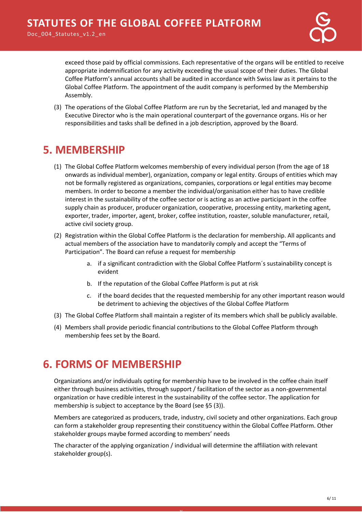

exceed those paid by official commissions. Each representative of the organs will be entitled to receive appropriate indemnification for any activity exceeding the usual scope of their duties. The Global Coffee Platform's annual accounts shall be audited in accordance with Swiss law as it pertains to the Global Coffee Platform. The appointment of the audit company is performed by the Membership Assembly.

(3) The operations of the Global Coffee Platform are run by the Secretariat, led and managed by the Executive Director who is the main operational counterpart of the governance organs. His or her responsibilities and tasks shall be defined in a job description, approved by the Board.

### <span id="page-5-0"></span>**5. MEMBERSHIP**

- (1) The Global Coffee Platform welcomes membership of every individual person (from the age of 18 onwards as individual member), organization, company or legal entity. Groups of entities which may not be formally registered as organizations, companies, corporations or legal entities may become members. In order to become a member the individual/organisation either has to have credible interest in the sustainability of the coffee sector or is acting as an active participant in the coffee supply chain as producer, producer organization, cooperative, processing entity, marketing agent, exporter, trader, importer, agent, broker, coffee institution, roaster, soluble manufacturer, retail, active civil society group.
- (2) Registration within the Global Coffee Platform is the declaration for membership. All applicants and actual members of the association have to mandatorily comply and accept the "Terms of Participation". The Board can refuse a request for membership
	- a. if a significant contradiction with the Global Coffee Platform´s sustainability concept is evident
	- b. If the reputation of the Global Coffee Platform is put at risk
	- c. if the board decides that the requested membership for any other important reason would be detriment to achieving the objectives of the Global Coffee Platform
- (3) The Global Coffee Platform shall maintain a register of its members which shall be publicly available.
- (4) Members shall provide periodic financial contributions to the Global Coffee Platform through membership fees set by the Board.

### <span id="page-5-1"></span>**6. FORMS OF MEMBERSHIP**

Organizations and/or individuals opting for membership have to be involved in the coffee chain itself either through business activities, through support / facilitation of the sector as a non-governmental organization or have credible interest in the sustainability of the coffee sector. The application for membership is subject to acceptance by the Board (see §5 (3)).

Members are categorized as producers, trade, industry, civil society and other organizations. Each group can form a stakeholder group representing their constituency within the Global Coffee Platform. Other stakeholder groups maybe formed according to members' needs

The character of the applying organization / individual will determine the affiliation with relevant stakeholder group(s).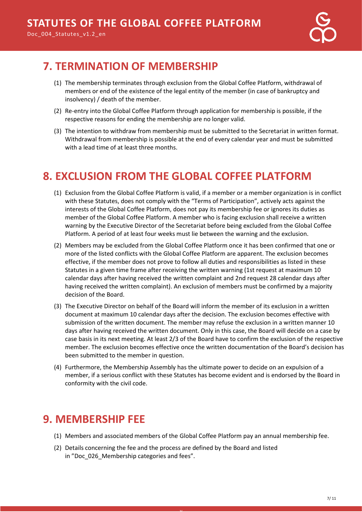# <span id="page-6-0"></span>**7. TERMINATION OF MEMBERSHIP**

- (1) The membership terminates through exclusion from the Global Coffee Platform, withdrawal of members or end of the existence of the legal entity of the member (in case of bankruptcy and insolvency) / death of the member.
- (2) Re-entry into the Global Coffee Platform through application for membership is possible, if the respective reasons for ending the membership are no longer valid.
- (3) The intention to withdraw from membership must be submitted to the Secretariat in written format. Withdrawal from membership is possible at the end of every calendar year and must be submitted with a lead time of at least three months.

# <span id="page-6-1"></span>**8. EXCLUSION FROM THE GLOBAL COFFEE PLATFORM**

- (1) Exclusion from the Global Coffee Platform is valid, if a member or a member organization is in conflict with these Statutes, does not comply with the "Terms of Participation", actively acts against the interests of the Global Coffee Platform, does not pay its membership fee or ignores its duties as member of the Global Coffee Platform. A member who is facing exclusion shall receive a written warning by the Executive Director of the Secretariat before being excluded from the Global Coffee Platform. A period of at least four weeks must lie between the warning and the exclusion.
- (2) Members may be excluded from the Global Coffee Platform once it has been confirmed that one or more of the listed conflicts with the Global Coffee Platform are apparent. The exclusion becomes effective, if the member does not prove to follow all duties and responsibilities as listed in these Statutes in a given time frame after receiving the written warning (1st request at maximum 10 calendar days after having received the written complaint and 2nd request 28 calendar days after having received the written complaint). An exclusion of members must be confirmed by a majority decision of the Board.
- (3) The Executive Director on behalf of the Board will inform the member of its exclusion in a written document at maximum 10 calendar days after the decision. The exclusion becomes effective with submission of the written document. The member may refuse the exclusion in a written manner 10 days after having received the written document. Only in this case, the Board will decide on a case by case basis in its next meeting. At least 2/3 of the Board have to confirm the exclusion of the respective member. The exclusion becomes effective once the written documentation of the Board's decision has been submitted to the member in question.
- (4) Furthermore, the Membership Assembly has the ultimate power to decide on an expulsion of a member, if a serious conflict with these Statutes has become evident and is endorsed by the Board in conformity with the civil code.

# <span id="page-6-2"></span>**9. MEMBERSHIP FEE**

(1) Members and associated members of the Global Coffee Platform pay an annual membership fee.

v

(2) Details concerning the fee and the process are defined by the Board and listed in "Doc\_026\_Membership categories and fees".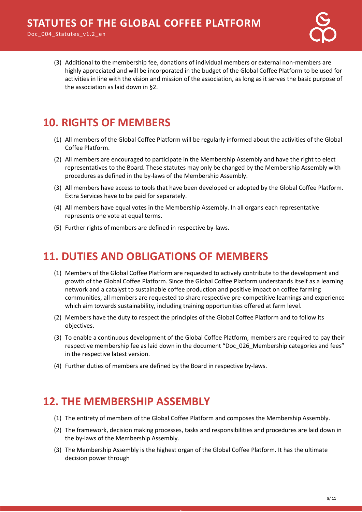Doc 004 Statutes v1.2 en



(3) Additional to the membership fee, donations of individual members or external non-members are highly appreciated and will be incorporated in the budget of the Global Coffee Platform to be used for activities in line with the vision and mission of the association, as long as it serves the basic purpose of the association as laid down in §2.

# <span id="page-7-0"></span>**10. RIGHTS OF MEMBERS**

- (1) All members of the Global Coffee Platform will be regularly informed about the activities of the Global Coffee Platform.
- (2) All members are encouraged to participate in the Membership Assembly and have the right to elect representatives to the Board. These statutes may only be changed by the Membership Assembly with procedures as defined in the by-laws of the Membership Assembly.
- (3) All members have access to tools that have been developed or adopted by the Global Coffee Platform. Extra Services have to be paid for separately.
- (4) All members have equal votes in the Membership Assembly. In all organs each representative represents one vote at equal terms.
- (5) Further rights of members are defined in respective by-laws.

#### <span id="page-7-1"></span>**11. DUTIES AND OBLIGATIONS OF MEMBERS**

- (1) Members of the Global Coffee Platform are requested to actively contribute to the development and growth of the Global Coffee Platform. Since the Global Coffee Platform understands itself as a learning network and a catalyst to sustainable coffee production and positive impact on coffee farming communities, all members are requested to share respective pre-competitive learnings and experience which aim towards sustainability, including training opportunities offered at farm level.
- (2) Members have the duty to respect the principles of the Global Coffee Platform and to follow its objectives.
- (3) To enable a continuous development of the Global Coffee Platform, members are required to pay their respective membership fee as laid down in the document "Doc\_026\_Membership categories and fees" in the respective latest version.
- (4) Further duties of members are defined by the Board in respective by-laws.

### <span id="page-7-2"></span>**12. THE MEMBERSHIP ASSEMBLY**

- (1) The entirety of members of the Global Coffee Platform and composes the Membership Assembly.
- (2) The framework, decision making processes, tasks and responsibilities and procedures are laid down in the by-laws of the Membership Assembly.
- (3) The Membership Assembly is the highest organ of the Global Coffee Platform. It has the ultimate decision power through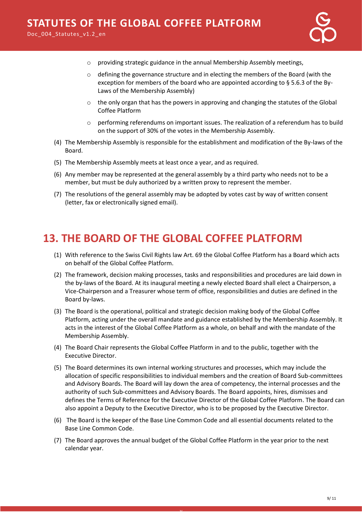- o providing strategic guidance in the annual Membership Assembly meetings,
- $\circ$  defining the governance structure and in electing the members of the Board (with the exception for members of the board who are appointed according to § 5.6.3 of the By-Laws of the Membership Assembly)
- $\circ$  the only organ that has the powers in approving and changing the statutes of the Global Coffee Platform
- $\circ$  performing referendums on important issues. The realization of a referendum has to build on the support of 30% of the votes in the Membership Assembly.
- (4) The Membership Assembly is responsible for the establishment and modification of the By-laws of the Board.
- (5) The Membership Assembly meets at least once a year, and as required.
- (6) Any member may be represented at the general assembly by a third party who needs not to be a member, but must be duly authorized by a written proxy to represent the member.
- (7) The resolutions of the general assembly may be adopted by votes cast by way of written consent (letter, fax or electronically signed email).

#### <span id="page-8-0"></span>**13. THE BOARD OF THE GLOBAL COFFEE PLATFORM**

- (1) With reference to the Swiss Civil Rights law Art. 69 the Global Coffee Platform has a Board which acts on behalf of the Global Coffee Platform.
- (2) The framework, decision making processes, tasks and responsibilities and procedures are laid down in the by-laws of the Board. At its inaugural meeting a newly elected Board shall elect a Chairperson, a Vice-Chairperson and a Treasurer whose term of office, responsibilities and duties are defined in the Board by-laws.
- (3) The Board is the operational, political and strategic decision making body of the Global Coffee Platform, acting under the overall mandate and guidance established by the Membership Assembly. It acts in the interest of the Global Coffee Platform as a whole, on behalf and with the mandate of the Membership Assembly.
- (4) The Board Chair represents the Global Coffee Platform in and to the public, together with the Executive Director.
- (5) The Board determines its own internal working structures and processes, which may include the allocation of specific responsibilities to individual members and the creation of Board Sub-committees and Advisory Boards. The Board will lay down the area of competency, the internal processes and the authority of such Sub-committees and Advisory Boards. The Board appoints, hires, dismisses and defines the Terms of Reference for the Executive Director of the Global Coffee Platform. The Board can also appoint a Deputy to the Executive Director, who is to be proposed by the Executive Director.
- (6) The Board is the keeper of the Base Line Common Code and all essential documents related to the Base Line Common Code.
- (7) The Board approves the annual budget of the Global Coffee Platform in the year prior to the next calendar year.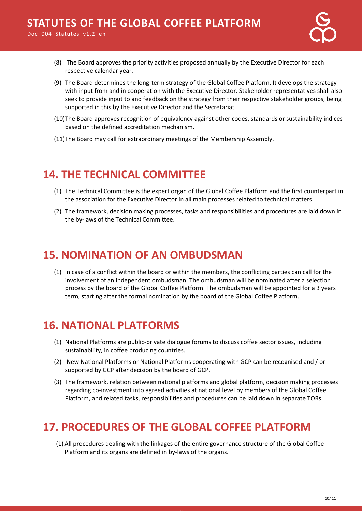

- (8) The Board approves the priority activities proposed annually by the Executive Director for each respective calendar year.
- (9) The Board determines the long-term strategy of the Global Coffee Platform. It develops the strategy with input from and in cooperation with the Executive Director. Stakeholder representatives shall also seek to provide input to and feedback on the strategy from their respective stakeholder groups, being supported in this by the Executive Director and the Secretariat.
- (10)The Board approves recognition of equivalency against other codes, standards or sustainability indices based on the defined accreditation mechanism.
- (11)The Board may call for extraordinary meetings of the Membership Assembly.

# <span id="page-9-0"></span>**14. THE TECHNICAL COMMITTEE**

- (1) The Technical Committee is the expert organ of the Global Coffee Platform and the first counterpart in the association for the Executive Director in all main processes related to technical matters.
- (2) The framework, decision making processes, tasks and responsibilities and procedures are laid down in the by-laws of the Technical Committee.

#### <span id="page-9-1"></span>**15. NOMINATION OF AN OMBUDSMAN**

(1) In case of a conflict within the board or within the members, the conflicting parties can call for the involvement of an independent ombudsman. The ombudsman will be nominated after a selection process by the board of the Global Coffee Platform. The ombudsman will be appointed for a 3 years term, starting after the formal nomination by the board of the Global Coffee Platform.

### <span id="page-9-2"></span>**16. NATIONAL PLATFORMS**

- (1) National Platforms are public-private dialogue forums to discuss coffee sector issues, including sustainability, in coffee producing countries.
- (2) New National Platforms or National Platforms cooperating with GCP can be recognised and / or supported by GCP after decision by the board of GCP.
- (3) The framework, relation between national platforms and global platform, decision making processes regarding co-investment into agreed activities at national level by members of the Global Coffee Platform, and related tasks, responsibilities and procedures can be laid down in separate TORs.

### <span id="page-9-3"></span>**17. PROCEDURES OF THE GLOBAL COFFEE PLATFORM**

v

(1) All procedures dealing with the linkages of the entire governance structure of the Global Coffee Platform and its organs are defined in by-laws of the organs.